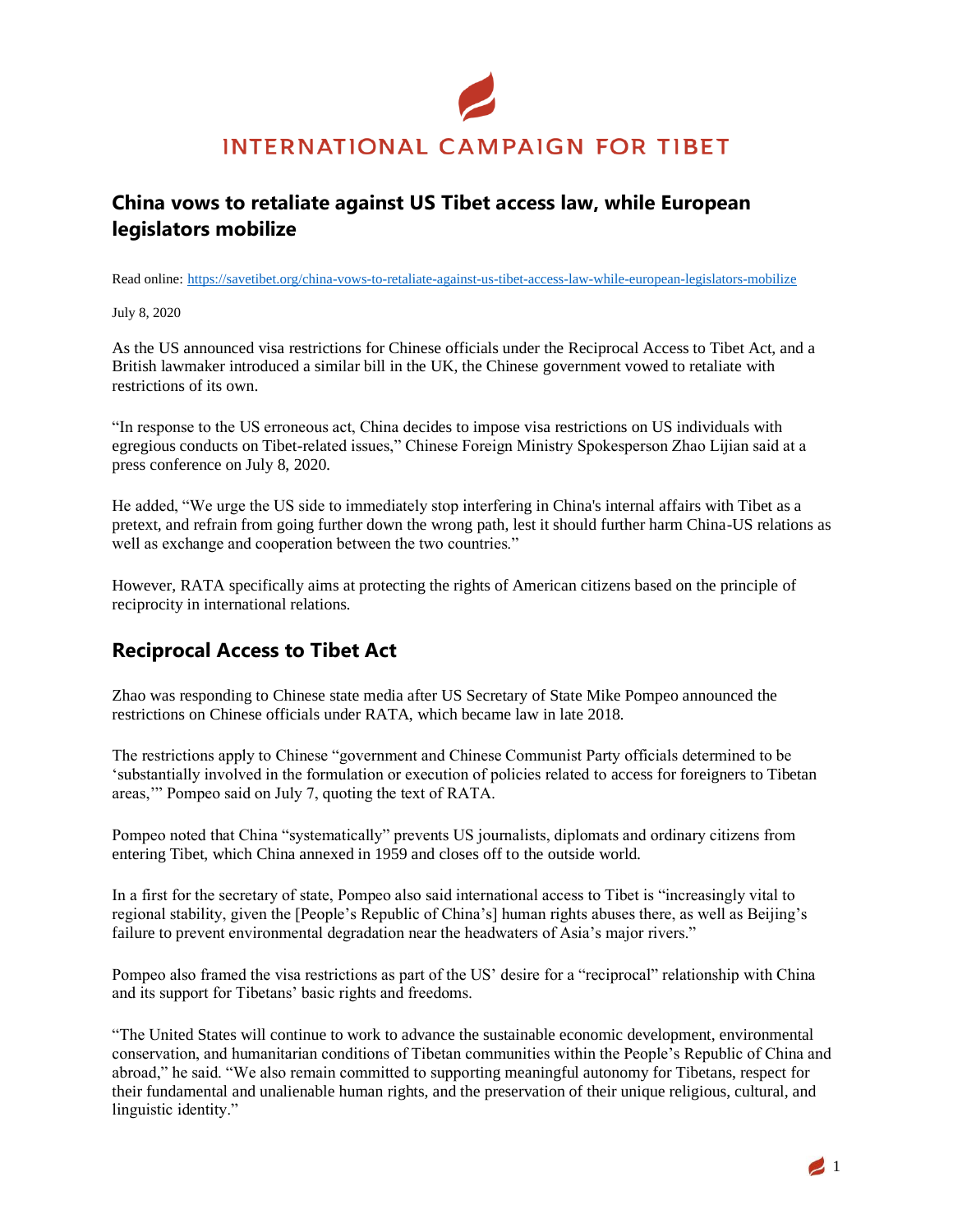

## **China vows to retaliate against US Tibet access law, while European legislators mobilize**

Read online: [https://savetibet.org/china-vows-to-retaliate-against-us-tibet-access-law-while-european-legislators-mobilize](https://savetibet.org/tibetan-prayer-flags-forced-down-by-chinese-authorities)

July 8, 2020

As the US announced visa restrictions for Chinese officials under the Reciprocal Access to Tibet Act, and a British lawmaker introduced a similar bill in the UK, the Chinese government vowed to retaliate with restrictions of its own.

"In response to the US erroneous act, China decides to impose visa restrictions on US individuals with egregious conducts on Tibet-related issues," Chinese Foreign Ministry Spokesperson Zhao Lijian said at a press conference on July 8, 2020.

He added, "We urge the US side to immediately stop interfering in China's internal affairs with Tibet as a pretext, and refrain from going further down the wrong path, lest it should further harm China-US relations as well as exchange and cooperation between the two countries."

However, RATA specifically aims at protecting the rights of American citizens based on the principle of reciprocity in international relations.

### **Reciprocal Access to Tibet Act**

Zhao was responding to Chinese state media after US Secretary of State Mike Pompeo announced the restrictions on Chinese officials under RATA, which became law in late 2018.

The restrictions apply to Chinese "government and Chinese Communist Party officials determined to be 'substantially involved in the formulation or execution of policies related to access for foreigners to Tibetan areas,'" Pompeo said on July 7, quoting the text of RATA.

Pompeo noted that China "systematically" prevents US journalists, diplomats and ordinary citizens from entering Tibet, which China annexed in 1959 and closes off to the outside world.

In a first for the secretary of state, Pompeo also said international access to Tibet is "increasingly vital to regional stability, given the [People's Republic of China's] human rights abuses there, as well as Beijing's failure to prevent environmental degradation near the headwaters of Asia's major rivers."

Pompeo also framed the visa restrictions as part of the US' desire for a "reciprocal" relationship with China and its support for Tibetans' basic rights and freedoms.

"The United States will continue to work to advance the sustainable economic development, environmental conservation, and humanitarian conditions of Tibetan communities within the People's Republic of China and abroad," he said. "We also remain committed to supporting meaningful autonomy for Tibetans, respect for their fundamental and unalienable human rights, and the preservation of their unique religious, cultural, and linguistic identity."

 $\blacktriangle$  1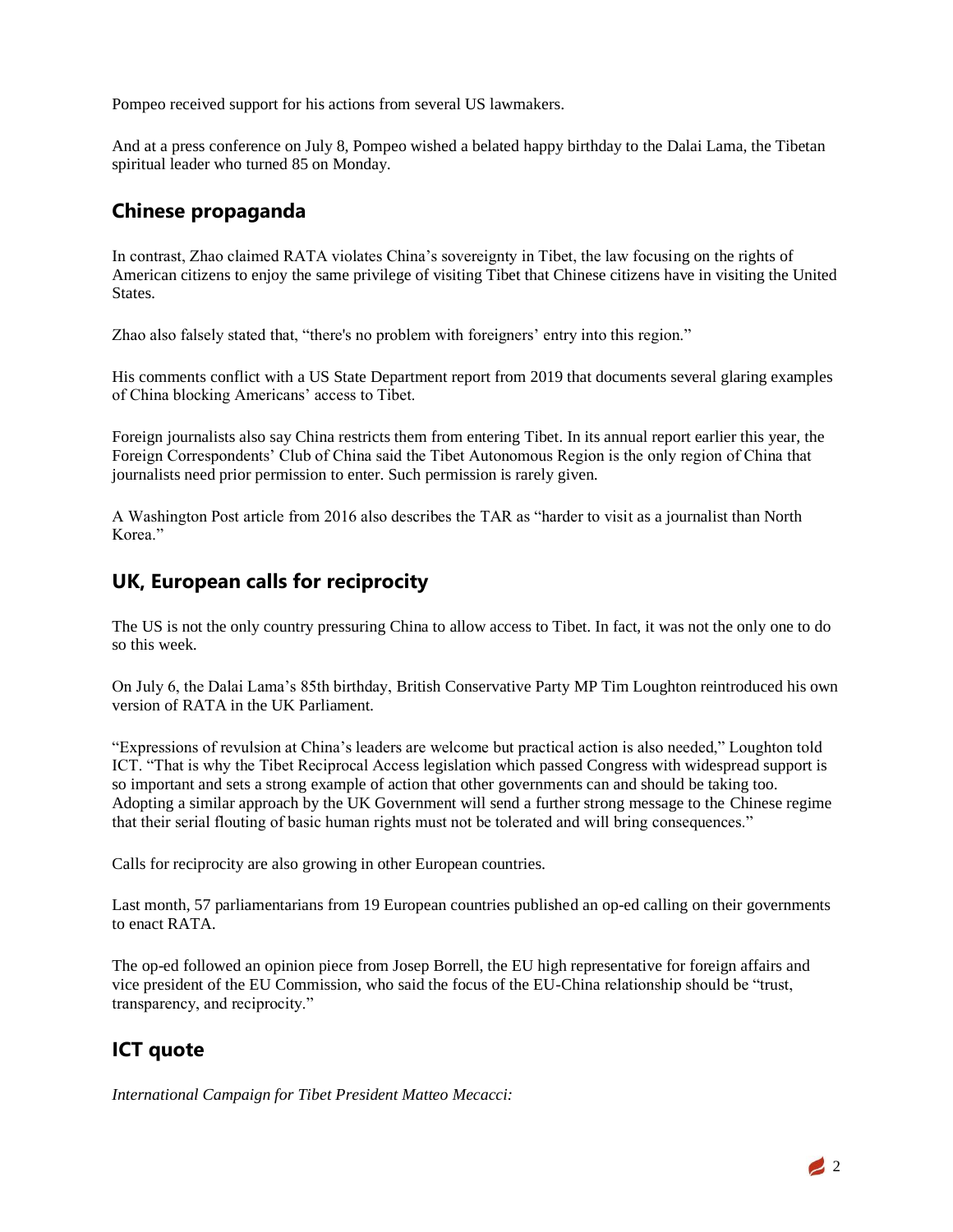Pompeo received support for his actions from several US lawmakers.

And at a press conference on July 8, Pompeo wished a belated happy birthday to the Dalai Lama, the Tibetan spiritual leader who turned 85 on Monday.

#### **Chinese propaganda**

In contrast, Zhao claimed RATA violates China's sovereignty in Tibet, the law focusing on the rights of American citizens to enjoy the same privilege of visiting Tibet that Chinese citizens have in visiting the United States.

Zhao also falsely stated that, "there's no problem with foreigners' entry into this region."

His comments conflict with a US State Department report from 2019 that documents several glaring examples of China blocking Americans' access to Tibet.

Foreign journalists also say China restricts them from entering Tibet. In its annual report earlier this year, the Foreign Correspondents' Club of China said the Tibet Autonomous Region is the only region of China that journalists need prior permission to enter. Such permission is rarely given.

A Washington Post article from 2016 also describes the TAR as "harder to visit as a journalist than North Korea."

#### **UK, European calls for reciprocity**

The US is not the only country pressuring China to allow access to Tibet. In fact, it was not the only one to do so this week.

On July 6, the Dalai Lama's 85th birthday, British Conservative Party MP Tim Loughton reintroduced his own version of RATA in the UK Parliament.

"Expressions of revulsion at China's leaders are welcome but practical action is also needed," Loughton told ICT. "That is why the Tibet Reciprocal Access legislation which passed Congress with widespread support is so important and sets a strong example of action that other governments can and should be taking too. Adopting a similar approach by the UK Government will send a further strong message to the Chinese regime that their serial flouting of basic human rights must not be tolerated and will bring consequences."

Calls for reciprocity are also growing in other European countries.

Last month, 57 parliamentarians from 19 European countries published an op-ed calling on their governments to enact RATA.

The op-ed followed an opinion piece from Josep Borrell, the EU high representative for foreign affairs and vice president of the EU Commission, who said the focus of the EU-China relationship should be "trust, transparency, and reciprocity."

# **ICT quote**

*International Campaign for Tibet President Matteo Mecacci:*